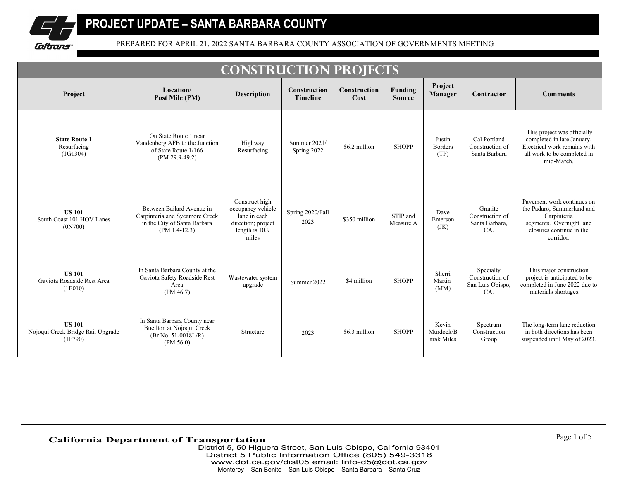

|                                                               |                                                                                                                | <b>CONSTRUCTION PROJECTS</b>                                                                         |                                        |                             |                          |                                  |                                                         |                                                                                                                                              |
|---------------------------------------------------------------|----------------------------------------------------------------------------------------------------------------|------------------------------------------------------------------------------------------------------|----------------------------------------|-----------------------------|--------------------------|----------------------------------|---------------------------------------------------------|----------------------------------------------------------------------------------------------------------------------------------------------|
| Project                                                       | Location/<br>Post Mile (PM)                                                                                    | <b>Description</b>                                                                                   | <b>Construction</b><br><b>Timeline</b> | <b>Construction</b><br>Cost | Funding<br><b>Source</b> | Project<br><b>Manager</b>        | Contractor                                              | <b>Comments</b>                                                                                                                              |
| <b>State Route 1</b><br>Resurfacing<br>(1G1304)               | On State Route 1 near<br>Vandenberg AFB to the Junction<br>of State Route 1/166<br>$(PM 29.9-49.2)$            | Highway<br>Resurfacing                                                                               | Summer 2021/<br>Spring 2022            | \$6.2 million               | <b>SHOPP</b>             | Justin<br><b>Borders</b><br>(TP) | Cal Portland<br>Construction of<br>Santa Barbara        | This project was officially<br>completed in late January.<br>Electrical work remains with<br>all work to be completed in<br>mid-March.       |
| <b>US 101</b><br>South Coast 101 HOV Lanes<br>(0N700)         | Between Bailard Avenue in<br>Carpinteria and Sycamore Creek<br>in the City of Santa Barbara<br>$(PM 1.4-12.3)$ | Construct high<br>occupancy vehicle<br>lane in each<br>direction; project<br>length is 10.9<br>miles | Spring 2020/Fall<br>2023               | \$350 million               | STIP and<br>Measure A    | Dave<br>Emerson<br>(JK)          | Granite<br>Construction of<br>Santa Barbara,<br>CA.     | Pavement work continues on<br>the Padaro, Summerland and<br>Carpinteria<br>segments. Overnight lane<br>closures continue in the<br>corridor. |
| <b>US 101</b><br>Gaviota Roadside Rest Area<br>(1E010)        | In Santa Barbara County at the<br>Gaviota Safety Roadside Rest<br>Area<br>(PM 46.7)                            | Wastewater system<br>upgrade                                                                         | Summer 2022                            | \$4 million                 | <b>SHOPP</b>             | Sherri<br>Martin<br>(MM)         | Specialty<br>Construction of<br>San Luis Obispo,<br>CA. | This major construction<br>project is anticipated to be<br>completed in June 2022 due to<br>materials shortages.                             |
| <b>US 101</b><br>Nojoqui Creek Bridge Rail Upgrade<br>(1F790) | In Santa Barbara County near<br>Buellton at Nojoqui Creek<br>$(Br\ No. 51-0018L/R)$<br>(PM 56.0)               | Structure                                                                                            | 2023                                   | \$6.3 million               | <b>SHOPP</b>             | Kevin<br>Murdock/B<br>arak Miles | Spectrum<br>Construction<br>Group                       | The long-term lane reduction<br>in both directions has been<br>suspended until May of 2023.                                                  |

## **California Department of Transportation**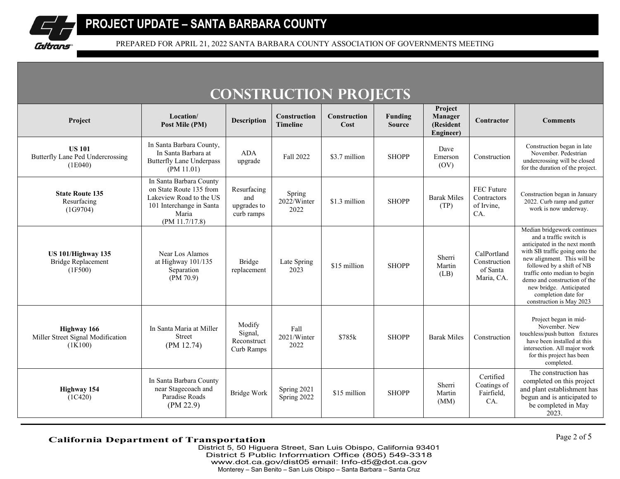

|                                                                   |                                                                                                                                      |                                                 |                                 | <b>CONSTRUCTION PROJECTS</b> |                          |                                              |                                                       |                                                                                                                                                                                                                                                                                                                                     |
|-------------------------------------------------------------------|--------------------------------------------------------------------------------------------------------------------------------------|-------------------------------------------------|---------------------------------|------------------------------|--------------------------|----------------------------------------------|-------------------------------------------------------|-------------------------------------------------------------------------------------------------------------------------------------------------------------------------------------------------------------------------------------------------------------------------------------------------------------------------------------|
| Project                                                           | Location/<br>Post Mile (PM)                                                                                                          | <b>Description</b>                              | Construction<br><b>Timeline</b> | <b>Construction</b><br>Cost  | Funding<br><b>Source</b> | Project<br>Manager<br>(Resident<br>Engineer) | Contractor                                            | <b>Comments</b>                                                                                                                                                                                                                                                                                                                     |
| <b>US 101</b><br>Butterfly Lane Ped Undercrossing<br>(1E040)      | In Santa Barbara County,<br>In Santa Barbara at<br><b>Butterfly Lane Underpass</b><br>(PM 11.01)                                     | <b>ADA</b><br>upgrade                           | Fall 2022                       | \$3.7 million                | <b>SHOPP</b>             | Dave<br>Emerson<br>(OV)                      | Construction                                          | Construction began in late<br>November. Pedestrian<br>undercrossing will be closed<br>for the duration of the project.                                                                                                                                                                                                              |
| <b>State Route 135</b><br>Resurfacing<br>(1G9704)                 | In Santa Barbara County<br>on State Route 135 from<br>Lakeview Road to the US<br>101 Interchange in Santa<br>Maria<br>(PM 11.7/17.8) | Resurfacing<br>and<br>upgrades to<br>curb ramps | Spring<br>2022/Winter<br>2022   | \$1.3 million                | <b>SHOPP</b>             | <b>Barak Miles</b><br>(TP)                   | FEC Future<br>Contractors<br>of Irvine.<br>CA.        | Construction began in January<br>2022. Curb ramp and gutter<br>work is now underway.                                                                                                                                                                                                                                                |
| <b>US 101/Highway 135</b><br><b>Bridge Replacement</b><br>(1F500) | Near Los Alamos<br>at Highway 101/135<br>Separation<br>(PM 70.9)                                                                     | <b>Bridge</b><br>replacement                    | Late Spring<br>2023             | \$15 million                 | <b>SHOPP</b>             | Sherri<br>Martin<br>(LB)                     | CalPortland<br>Construction<br>of Santa<br>Maria, CA. | Median bridgework continues<br>and a traffic switch is<br>anticipated in the next month<br>with SB traffic going onto the<br>new alignment. This will be<br>followed by a shift of NB<br>traffic onto median to begin<br>demo and construction of the<br>new bridge. Anticipated<br>completion date for<br>construction is May 2023 |
| Highway 166<br>Miller Street Signal Modification<br>(1K100)       | In Santa Maria at Miller<br><b>Street</b><br>(PM 12.74)                                                                              | Modify<br>Signal,<br>Reconstruct<br>Curb Ramps  | Fall<br>2021/Winter<br>2022     | \$785k                       | <b>SHOPP</b>             | <b>Barak Miles</b>                           | Construction                                          | Project began in mid-<br>November, New<br>touchless/push button fixtures<br>have been installed at this<br>intersection. All major work<br>for this project has been<br>completed.                                                                                                                                                  |
| Highway 154<br>(1C420)                                            | In Santa Barbara County<br>near Stagecoach and<br>Paradise Roads<br>(PM 22.9)                                                        | Bridge Work                                     | Spring 2021<br>Spring 2022      | \$15 million                 | <b>SHOPP</b>             | Sherri<br>Martin<br>(MM)                     | Certified<br>Coatings of<br>Fairfield,<br>CA.         | The construction has<br>completed on this project<br>and plant establishment has<br>begun and is anticipated to<br>be completed in May<br>2023.                                                                                                                                                                                     |

**California Department of Transportation**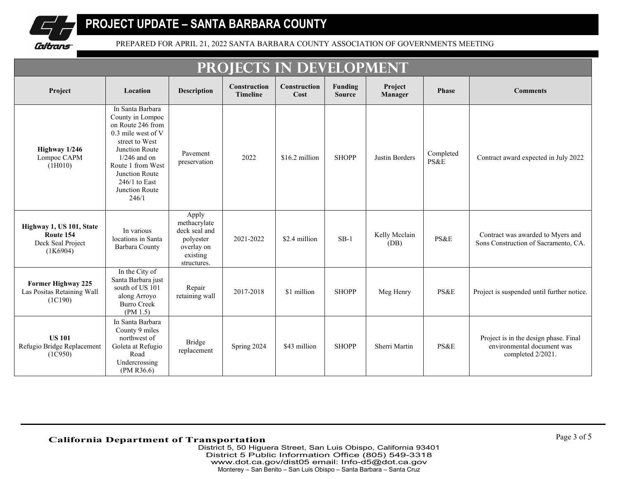

| PROJECTS IN DEVELOPMENT                                                |                                                                                                                                                                                                                            |                                                                                              |                                 |                             |                                 |                       |                   |                                                                                          |
|------------------------------------------------------------------------|----------------------------------------------------------------------------------------------------------------------------------------------------------------------------------------------------------------------------|----------------------------------------------------------------------------------------------|---------------------------------|-----------------------------|---------------------------------|-----------------------|-------------------|------------------------------------------------------------------------------------------|
| Project                                                                | Location                                                                                                                                                                                                                   | <b>Description</b>                                                                           | Construction<br><b>Timeline</b> | <b>Construction</b><br>Cost | <b>Funding</b><br><b>Source</b> | Project<br>Manager    | Phase             | <b>Comments</b>                                                                          |
| Highway 1/246<br>Lompoc CAPM<br>(1H010)                                | In Santa Barbara<br>County in Lompoc<br>on Route 246 from<br>0.3 mile west of V<br>street to West<br>Junction Route<br>$1/246$ and on<br>Route 1 from West<br>Junction Route<br>$246/1$ to East<br>Junction Route<br>246/1 | Pavement<br>preservation                                                                     | 2022                            | \$16.2 million              | <b>SHOPP</b>                    | Justin Borders        | Completed<br>PS&E | Contract award expected in July 2022                                                     |
| Highway 1, US 101, State<br>Route 154<br>Deck Seal Project<br>(1K6904) | In various<br>locations in Santa<br>Barbara County                                                                                                                                                                         | Apply<br>methacrylate<br>deck seal and<br>polyester<br>overlay on<br>existing<br>structures. | 2021-2022                       | \$2.4 million               | $SB-1$                          | Kelly Mcclain<br>(DB) | PS&E              | Contract was awarded to Myers and<br>Sons Construction of Sacramento, CA.                |
| <b>Former Highway 225</b><br>Las Positas Retaining Wall<br>(1C190)     | In the City of<br>Santa Barbara just<br>south of US 101<br>along Arroyo<br><b>Burro Creek</b><br>(PM 1.5)                                                                                                                  | Repair<br>retaining wall                                                                     | 2017-2018                       | \$1 million                 | <b>SHOPP</b>                    | Meg Henry             | PS&E              | Project is suspended until further notice.                                               |
| <b>US 101</b><br>Refugio Bridge Replacement<br>(1C950)                 | In Santa Barbara<br>County 9 miles<br>northwest of<br>Goleta at Refugio<br>Road<br>Undercrossing<br>(PM R36.6)                                                                                                             | Bridge<br>replacement                                                                        | Spring 2024                     | \$43 million                | <b>SHOPP</b>                    | Sherri Martin         | PS&E              | Project is in the design phase. Final<br>environmental document was<br>completed 2/2021. |

## **California Department of Transportation**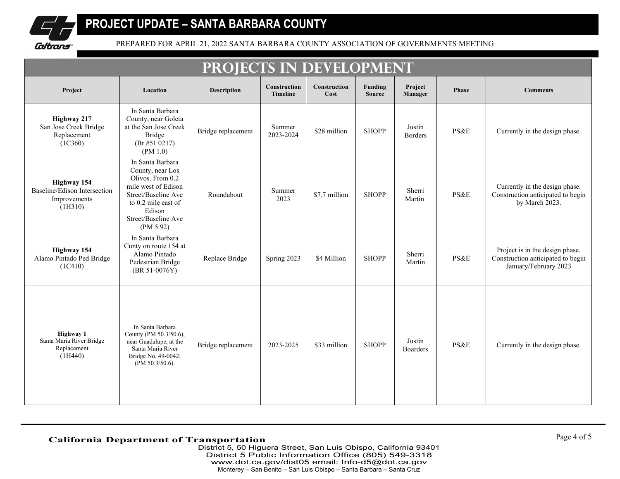

| PROJECTS IN DEVELOPMENT                                                       |                                                                                                                                                                             |                    |                                 |                             |                          |                           |                 |                                                                                               |
|-------------------------------------------------------------------------------|-----------------------------------------------------------------------------------------------------------------------------------------------------------------------------|--------------------|---------------------------------|-----------------------------|--------------------------|---------------------------|-----------------|-----------------------------------------------------------------------------------------------|
| Project                                                                       | Location                                                                                                                                                                    | <b>Description</b> | Construction<br><b>Timeline</b> | <b>Construction</b><br>Cost | Funding<br><b>Source</b> | Project<br>Manager        | <b>Phase</b>    | <b>Comments</b>                                                                               |
| Highway 217<br>San Jose Creek Bridge<br>Replacement<br>(1C360)                | In Santa Barbara<br>County, near Goleta<br>at the San Jose Creek<br>Bridge<br>$(Br \# 51 \ 0217)$<br>(PM 1.0)                                                               | Bridge replacement | Summer<br>2023-2024             | \$28 million                | <b>SHOPP</b>             | Justin<br><b>Borders</b>  | PS&E            | Currently in the design phase.                                                                |
| <b>Highway 154</b><br>Baseline/Edison Intersection<br>Improvements<br>(1H310) | In Santa Barbara<br>County, near Los<br>Olivos. From 0.2<br>mile west of Edison<br>Street/Baseline Ave<br>to 0.2 mile east of<br>Edison<br>Street/Baseline Ave<br>(PM 5.92) | Roundabout         | Summer<br>2023                  | \$7.7 million               | <b>SHOPP</b>             | Sherri<br>Martin          | <b>PS&amp;E</b> | Currently in the design phase.<br>Construction anticipated to begin<br>by March 2023.         |
| <b>Highway 154</b><br>Alamo Pintado Ped Bridge<br>(1C410)                     | In Santa Barbara<br>Cunty on route 154 at<br>Alamo Pintado<br>Pedestrian Bridge<br>(BR 51-0076Y)                                                                            | Replace Bridge     | Spring 2023                     | \$4 Million                 | <b>SHOPP</b>             | Sherri<br>Martin          | PS&E            | Project is in the design phase.<br>Construction anticipated to begin<br>January/February 2023 |
| Highway 1<br>Santa Maria River Bridge<br>Replacement<br>(1H440)               | In Santa Barbara<br>County (PM 50.3/50.6),<br>near Guadalupe, at the<br>Santa Maria River<br>Bridge No. 49-0042;<br>(PM $50.3/50.6$ ).                                      | Bridge replacement | 2023-2025                       | \$33 million                | <b>SHOPP</b>             | Justin<br><b>Boarders</b> | PS&E            | Currently in the design phase.                                                                |

# **California Department of Transportation**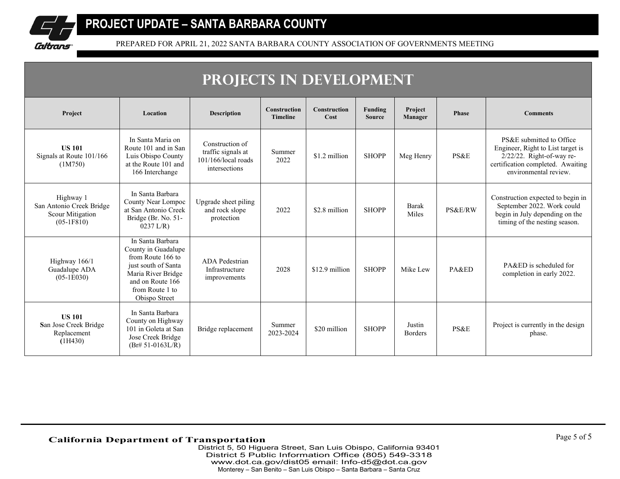

| PROJECTS IN DEVELOPMENT                                                   |                                                                                                                                                                   |                                                                                  |                                        |                             |                          |                          |              |                                                                                                                                                             |
|---------------------------------------------------------------------------|-------------------------------------------------------------------------------------------------------------------------------------------------------------------|----------------------------------------------------------------------------------|----------------------------------------|-----------------------------|--------------------------|--------------------------|--------------|-------------------------------------------------------------------------------------------------------------------------------------------------------------|
| Project                                                                   | Location                                                                                                                                                          | <b>Description</b>                                                               | <b>Construction</b><br><b>Timeline</b> | <b>Construction</b><br>Cost | Funding<br><b>Source</b> | Project<br>Manager       | <b>Phase</b> | <b>Comments</b>                                                                                                                                             |
| <b>US 101</b><br>Signals at Route 101/166<br>(1M750)                      | In Santa Maria on<br>Route 101 and in San<br>Luis Obispo County<br>at the Route 101 and<br>166 Interchange                                                        | Construction of<br>traffic signals at<br>$101/166$ /local roads<br>intersections | Summer<br>2022                         | \$1.2 million               | <b>SHOPP</b>             | Meg Henry                | PS&E         | PS&E submitted to Office<br>Engineer, Right to List target is<br>$2/22/22$ . Right-of-way re-<br>certification completed. Awaiting<br>environmental review. |
| Highway 1<br>San Antonio Creek Bridge<br>Scour Mitigation<br>$(05-1F810)$ | In Santa Barbara<br>County Near Lompoc<br>at San Antonio Creek<br>Bridge (Br. No. 51-<br>$0237$ L/R)                                                              | Upgrade sheet piling<br>and rock slope<br>protection                             | 2022                                   | \$2.8 million               | <b>SHOPP</b>             | <b>Barak</b><br>Miles    | PS&E/RW      | Construction expected to begin in<br>September 2022. Work could<br>begin in July depending on the<br>timing of the nesting season.                          |
| Highway 166/1<br>Guadalupe ADA<br>$(05-1E030)$                            | In Santa Barbara<br>County in Guadalupe<br>from Route 166 to<br>just south of Santa<br>Maria River Bridge<br>and on Route 166<br>from Route 1 to<br>Obispo Street | <b>ADA</b> Pedestrian<br>Infrastructure<br>improvements                          | 2028                                   | \$12.9 million              | <b>SHOPP</b>             | Mike Lew                 | PA&ED        | PA&ED is scheduled for<br>completion in early 2022.                                                                                                         |
| <b>US 101</b><br>San Jose Creek Bridge<br>Replacement<br>(1H430)          | In Santa Barbara<br>County on Highway<br>101 in Goleta at San<br>Jose Creek Bridge<br>$(Br# 51-0163L/R)$                                                          | Bridge replacement                                                               | Summer<br>2023-2024                    | \$20 million                | <b>SHOPP</b>             | Justin<br><b>Borders</b> | PS&E         | Project is currently in the design<br>phase.                                                                                                                |

# **California Department of Transportation**